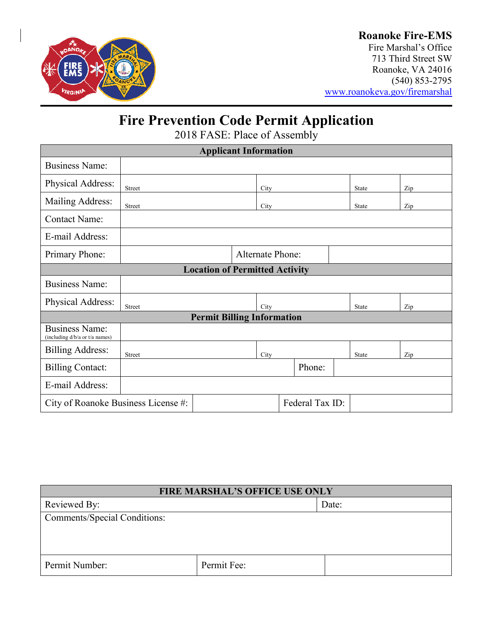

## **Roanoke Fire-EMS**

Fire Marshal's Office 713 Third Street SW Roanoke, VA 24016 (540) 853-2795 [www.roanokeva.gov/firemarshal](http://www.roanokeva.gov/firemarshal)

# **Fire Prevention Code Permit Application**

2018 FASE: Place of Assembly

| <b>Applicant Information</b>                            |               |                         |        |  |       |       |     |     |
|---------------------------------------------------------|---------------|-------------------------|--------|--|-------|-------|-----|-----|
| <b>Business Name:</b>                                   |               |                         |        |  |       |       |     |     |
| Physical Address:                                       | <b>Street</b> | City                    |        |  | State |       | Zip |     |
| Mailing Address:                                        | <b>Street</b> |                         | City   |  | State |       | Zip |     |
| <b>Contact Name:</b>                                    |               |                         |        |  |       |       |     |     |
| E-mail Address:                                         |               |                         |        |  |       |       |     |     |
| Primary Phone:                                          |               | <b>Alternate Phone:</b> |        |  |       |       |     |     |
| <b>Location of Permitted Activity</b>                   |               |                         |        |  |       |       |     |     |
| <b>Business Name:</b>                                   |               |                         |        |  |       |       |     |     |
| Physical Address:                                       | Street        |                         | City   |  |       | State |     | Zip |
| <b>Permit Billing Information</b>                       |               |                         |        |  |       |       |     |     |
| <b>Business Name:</b><br>(including d/b/a or t/a names) |               |                         |        |  |       |       |     |     |
| <b>Billing Address:</b>                                 | Street        |                         | City   |  |       | State |     | Zip |
| <b>Billing Contact:</b>                                 |               |                         | Phone: |  |       |       |     |     |
| E-mail Address:                                         |               |                         |        |  |       |       |     |     |
| Federal Tax ID:<br>City of Roanoke Business License #:  |               |                         |        |  |       |       |     |     |

| FIRE MARSHAL'S OFFICE USE ONLY |             |       |  |  |
|--------------------------------|-------------|-------|--|--|
| Reviewed By:                   |             | Date: |  |  |
| Comments/Special Conditions:   |             |       |  |  |
|                                |             |       |  |  |
|                                |             |       |  |  |
| Permit Number:                 | Permit Fee: |       |  |  |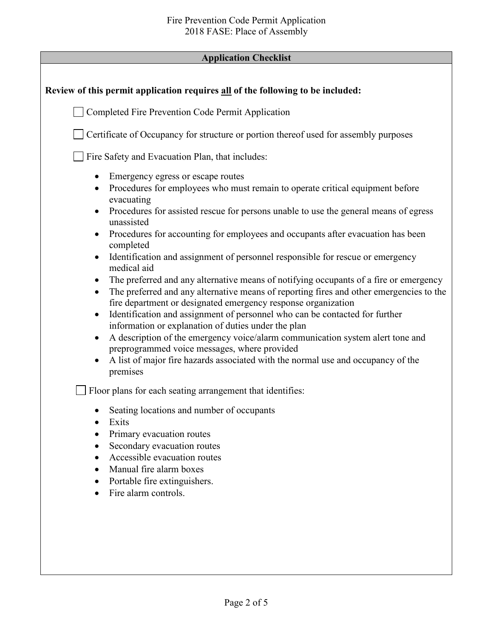## **Application Checklist**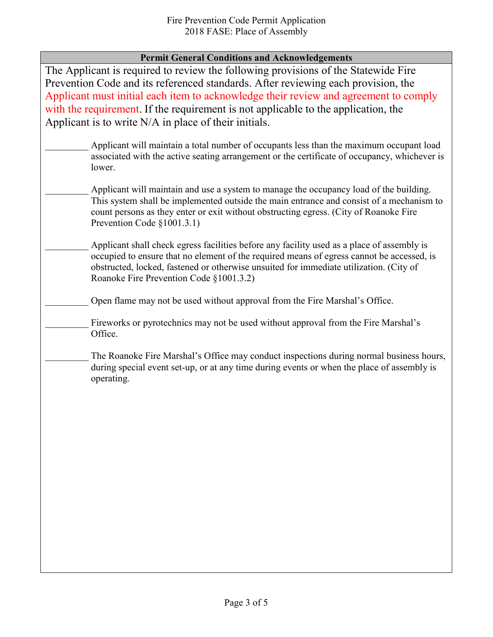### **Permit General Conditions and Acknowledgements**

The Applicant is required to review the following provisions of the Statewide Fire Prevention Code and its referenced standards. After reviewing each provision, the Applicant must initial each item to acknowledge their review and agreement to comply with the requirement. If the requirement is not applicable to the application, the Applicant is to write N/A in place of their initials.

- Applicant will maintain a total number of occupants less than the maximum occupant load associated with the active seating arrangement or the certificate of occupancy, whichever is lower.
	- Applicant will maintain and use a system to manage the occupancy load of the building. This system shall be implemented outside the main entrance and consist of a mechanism to count persons as they enter or exit without obstructing egress. (City of Roanoke Fire Prevention Code §1001.3.1)
	- Applicant shall check egress facilities before any facility used as a place of assembly is occupied to ensure that no element of the required means of egress cannot be accessed, is obstructed, locked, fastened or otherwise unsuited for immediate utilization. (City of Roanoke Fire Prevention Code §1001.3.2)
		- Open flame may not be used without approval from the Fire Marshal's Office.
	- Fireworks or pyrotechnics may not be used without approval from the Fire Marshal's Office.
	- The Roanoke Fire Marshal's Office may conduct inspections during normal business hours, during special event set-up, or at any time during events or when the place of assembly is operating.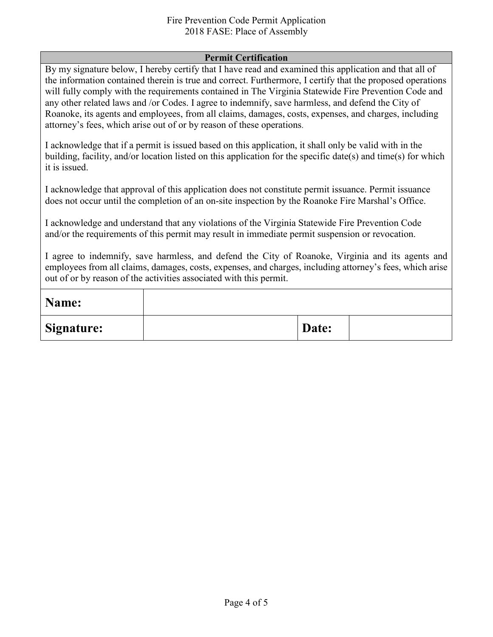### Fire Prevention Code Permit Application 2018 FASE: Place of Assembly

### **Permit Certification**

By my signature below, I hereby certify that I have read and examined this application and that all of the information contained therein is true and correct. Furthermore, I certify that the proposed operations will fully comply with the requirements contained in The Virginia Statewide Fire Prevention Code and any other related laws and /or Codes. I agree to indemnify, save harmless, and defend the City of Roanoke, its agents and employees, from all claims, damages, costs, expenses, and charges, including attorney's fees, which arise out of or by reason of these operations.

I acknowledge that if a permit is issued based on this application, it shall only be valid with in the building, facility, and/or location listed on this application for the specific date(s) and time(s) for which it is issued.

I acknowledge that approval of this application does not constitute permit issuance. Permit issuance does not occur until the completion of an on-site inspection by the Roanoke Fire Marshal's Office.

I acknowledge and understand that any violations of the Virginia Statewide Fire Prevention Code and/or the requirements of this permit may result in immediate permit suspension or revocation.

I agree to indemnify, save harmless, and defend the City of Roanoke, Virginia and its agents and employees from all claims, damages, costs, expenses, and charges, including attorney's fees, which arise out of or by reason of the activities associated with this permit.

| Name:             |       |  |
|-------------------|-------|--|
| <b>Signature:</b> | Date: |  |